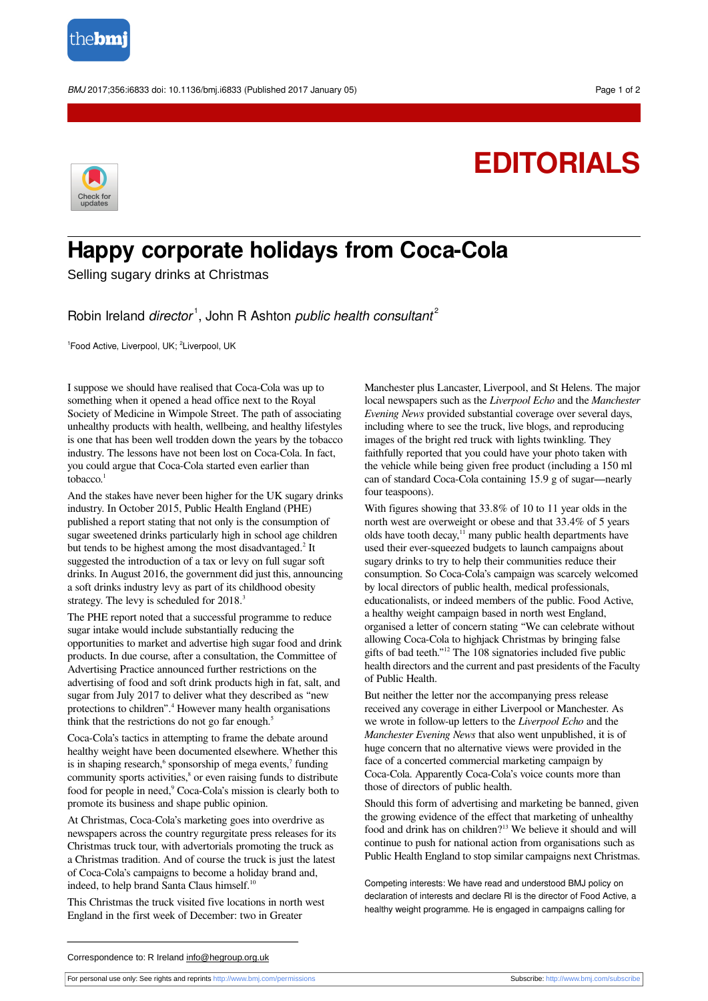

BMJ 2017;356:i6833 doi: 10.1136/bmj.i6833 (Published 2017 January 05) easy of 2

## **EDITORIALS**



## **Happy corporate holidays from Coca-Cola**

Selling sugary drinks at Christmas

Robin Ireland *director*<sup>1</sup>, John R Ashton *public health consultant*<sup>2</sup>

<sup>1</sup>Food Active, Liverpool, UK; <sup>2</sup>Liverpool, UK

I suppose we should have realised that Coca-Cola was up to something when it opened a head office next to the Royal Society of Medicine in Wimpole Street. The path of associating unhealthy products with health, wellbeing, and healthy lifestyles is one that has been well trodden down the years by the tobacco industry. The lessons have not been lost on Coca-Cola. In fact, you could argue that Coca-Cola started even earlier than tobacco. 1

And the stakes have never been higher for the UK sugary drinks industry. In October 2015, Public Health England (PHE) published a report stating that not only is the consumption of sugar sweetened drinks particularly high in school age children but tends to be highest among the most disadvantaged.<sup>2</sup> It suggested the introduction of a tax or levy on full sugar soft drinks. In August 2016, the government did just this, announcing a soft drinks industry levy as part of its childhood obesity strategy. The levy is scheduled for 2018.<sup>3</sup>

The PHE report noted that a successful programme to reduce sugar intake would include substantially reducing the opportunities to market and advertise high sugar food and drink products. In due course, after a consultation, the Committee of Advertising Practice announced further restrictions on the advertising of food and soft drink products high in fat, salt, and sugar from July 2017 to deliver what they described as "new protections to children". 4 However many health organisations think that the restrictions do not go far enough. 5

Coca-Cola's tactics in attempting to frame the debate around healthy weight have been documented elsewhere. Whether this is in shaping research,<sup>6</sup> sponsorship of mega events,<sup>7</sup> funding community sports activities,<sup>8</sup> or even raising funds to distribute food for people in need,<sup>9</sup> Coca-Cola's mission is clearly both to promote its business and shape public opinion.

At Christmas, Coca-Cola's marketing goes into overdrive as newspapers across the country regurgitate press releases for its Christmas truck tour, with advertorials promoting the truck as a Christmas tradition. And of course the truck is just the latest of Coca-Cola's campaigns to become a holiday brand and, indeed, to help brand Santa Claus himself.<sup>10</sup>

This Christmas the truck visited five locations in north west England in the first week of December: two in Greater

Manchester plus Lancaster, Liverpool, and St Helens. The major local newspapers such as the *Liverpool Echo* and the *Manchester Evening News* provided substantial coverage over several days, including where to see the truck, live blogs, and reproducing images of the bright red truck with lights twinkling. They faithfully reported that you could have your photo taken with the vehicle while being given free product (including a 150 ml can of standard Coca-Cola containing 15.9 g of sugar—nearly four teaspoons).

With figures showing that 33.8% of 10 to 11 year olds in the north west are overweight or obese and that 33.4% of 5 years olds have tooth decay,<sup>11</sup> many public health departments have used their ever-squeezed budgets to launch campaigns about sugary drinks to try to help their communities reduce their consumption. So Coca-Cola's campaign was scarcely welcomed by local directors of public health, medical professionals, educationalists, or indeed members of the public. Food Active, a healthy weight campaign based in north west England, organised a letter of concern stating "We can celebrate without allowing Coca-Cola to highjack Christmas by bringing false gifts of bad teeth." <sup>12</sup> The 108 signatories included five public health directors and the current and past presidents of the Faculty of Public Health.

But neither the letter nor the accompanying press release received any coverage in either Liverpool or Manchester. As we wrote in follow-up letters to the *Liverpool Echo* and the *Manchester Evening News* that also went unpublished, it is of huge concern that no alternative views were provided in the face of a concerted commercial marketing campaign by Coca-Cola. Apparently Coca-Cola's voice counts more than those of directors of public health.

Should this form of advertising and marketing be banned, given the growing evidence of the effect that marketing of unhealthy food and drink has on children?<sup>13</sup> We believe it should and will continue to push for national action from organisations such as Public Health England to stop similar campaigns next Christmas.

Competing interests: We have read and understood BMJ policy on declaration of interests and declare RI is the director of Food Active, a healthy weight programme. He is engaged in campaigns calling for

Correspondence to: R Ireland info@hegroup.org.uk